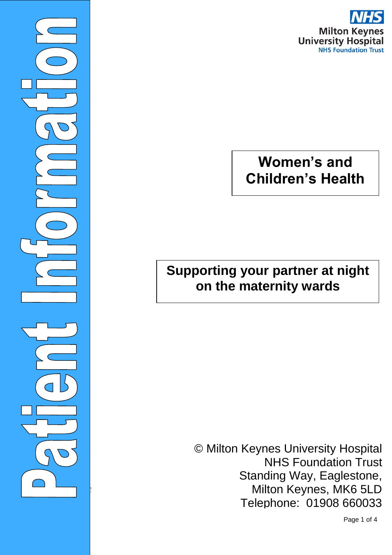

# **Women's and Children's Health**

### **Supporting your partner at night on the maternity wards**

 $\overline{\phantom{0}}$ 

Milton Keynes, MK6 5LD time patient information goes to print. Please note, links and content on the content of the content of the con<br>Telephone: 01908 660033 © Milton Keynes University Hospital NHS Foundation Trust Standing Way, Eaglestone,

Page 1 of 4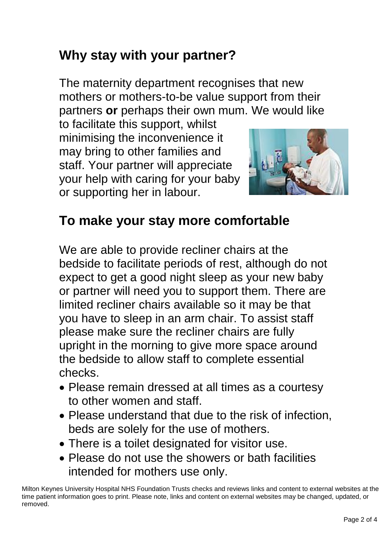## **Why stay with your partner?**

The maternity department recognises that new mothers or mothers-to-be value support from their partners **or** perhaps their own mum. We would like

to facilitate this support, whilst minimising the inconvenience it may bring to other families and staff. Your partner will appreciate your help with caring for your baby or supporting her in labour.



#### **To make your stay more comfortable**

We are able to provide recliner chairs at the bedside to facilitate periods of rest, although do not expect to get a good night sleep as your new baby or partner will need you to support them. There are limited recliner chairs available so it may be that you have to sleep in an arm chair. To assist staff please make sure the recliner chairs are fully upright in the morning to give more space around the bedside to allow staff to complete essential checks.

- Please remain dressed at all times as a courtesy to other women and staff.
- Please understand that due to the risk of infection, beds are solely for the use of mothers.
- There is a toilet designated for visitor use.
- Please do not use the showers or bath facilities intended for mothers use only.

Milton Keynes University Hospital NHS Foundation Trusts checks and reviews links and content to external websites at the time patient information goes to print. Please note, links and content on external websites may be changed, updated, or removed.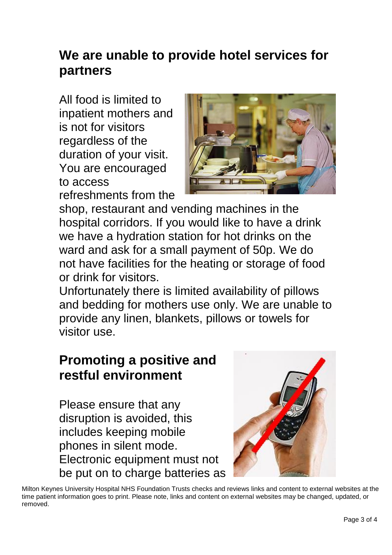## **We are unable to provide hotel services for partners**

All food is limited to inpatient mothers and is not for visitors regardless of the duration of your visit. You are encouraged to access refreshments from the



shop, restaurant and vending machines in the hospital corridors. If you would like to have a drink we have a hydration station for hot drinks on the ward and ask for a small payment of 50p. We do not have facilities for the heating or storage of food or drink for visitors.

Unfortunately there is limited availability of pillows and bedding for mothers use only. We are unable to provide any linen, blankets, pillows or towels for visitor use.

## **Promoting a positive and restful environment**

Please ensure that any disruption is avoided, this includes keeping mobile phones in silent mode. Electronic equipment must not be put on to charge batteries as



Milton Keynes University Hospital NHS Foundation Trusts checks and reviews links and content to external websites at the time patient information goes to print. Please note, links and content on external websites may be changed, updated, or removed.